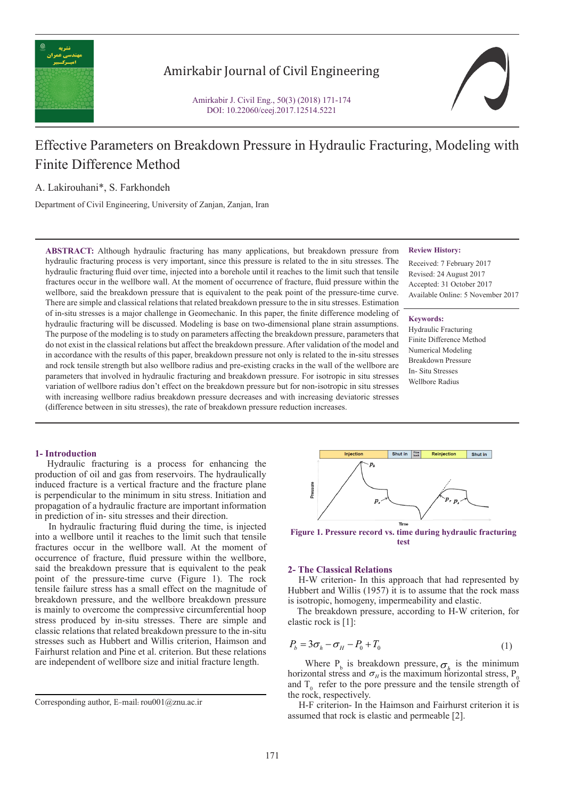

# Amirkabir Journal of Civil Engineering

Amirkabir J. Civil Eng., 50(3) (2018) 171-174 DOI: 10.22060/ceej.2017.12514.5221



# Effective Parameters on Breakdown Pressure in Hydraulic Fracturing, Modeling with Finite Difference Method

A. Lakirouhani\*, S. Farkhondeh

Department of Civil Engineering, University of Zanjan, Zanjan, Iran

**ABSTRACT:** Although hydraulic fracturing has many applications, but breakdown pressure from hydraulic fracturing process is very important, since this pressure is related to the in situ stresses. The hydraulic fracturing fluid over time, injected into a borehole until it reaches to the limit such that tensile fractures occur in the wellbore wall. At the moment of occurrence of fracture, fluid pressure within the wellbore, said the breakdown pressure that is equivalent to the peak point of the pressure-time curve. There are simple and classical relations that related breakdown pressure to the in situ stresses. Estimation of in-situ stresses is a major challenge in Geomechanic. In this paper, the finite difference modeling of hydraulic fracturing will be discussed. Modeling is base on two-dimensional plane strain assumptions. The purpose of the modeling is to study on parameters affecting the breakdown pressure, parameters that do not exist in the classical relations but affect the breakdown pressure. After validation of the model and in accordance with the results of this paper, breakdown pressure not only is related to the in-situ stresses and rock tensile strength but also wellbore radius and pre-existing cracks in the wall of the wellbore are parameters that involved in hydraulic fracturing and breakdown pressure. For isotropic in situ stresses variation of wellbore radius don't effect on the breakdown pressure but for non-isotropic in situ stresses with increasing wellbore radius breakdown pressure decreases and with increasing deviatoric stresses (difference between in situ stresses), the rate of breakdown pressure reduction increases.

#### **Review History:**

Received: 7 February 2017 Revised: 24 August 2017 Accepted: 31 October 2017 Available Online: 5 November 2017

#### **Keywords:**

Hydraulic Fracturing Finite Difference Method Numerical Modeling Breakdown Pressure In- Situ Stresses Wellbore Radius

## **1- Introduction**

 Hydraulic fracturing is a process for enhancing the production of oil and gas from reservoirs. The hydraulically induced fracture is a vertical fracture and the fracture plane is perpendicular to the minimum in situ stress. Initiation and propagation of a hydraulic fracture are important information in prediction of in- situ stresses and their direction.

 In hydraulic fracturing fluid during the time, is injected into a wellbore until it reaches to the limit such that tensile fractures occur in the wellbore wall. At the moment of occurrence of fracture, fluid pressure within the wellbore, said the breakdown pressure that is equivalent to the peak point of the pressure-time curve (Figure 1). The rock tensile failure stress has a small effect on the magnitude of breakdown pressure, and the wellbore breakdown pressure is mainly to overcome the compressive circumferential hoop stress produced by in-situ stresses. There are simple and classic relations that related breakdown pressure to the in-situ stresses such as Hubbert and Willis criterion, Haimson and Fairhurst relation and Pine et al. criterion. But these relations are independent of wellbore size and initial fracture length.



**Figure 1. Pressure record vs. time during hydraulic fracturing test**

#### **2- The Classical Relations**

 H-W criterion- In this approach that had represented by Hubbert and Willis (1957) it is to assume that the rock mass is isotropic, homogeny, impermeability and elastic.

 The breakdown pressure, according to H-W criterion, for elastic rock is [1]:

$$
P_b = 3\sigma_h - \sigma_H - P_0 + T_0 \tag{1}
$$

Where  $P_b$  is breakdown pressure,  $\sigma_h$  is the minimum where  $P_b$  is breakdown pressure,  $\sigma_h$  is the maximum horizontal stress,  $P_c$ and  $T_0$  refer to the pore pressure and the tensile strength of the rock, respectively.

 H-F criterion- In the Haimson and Fairhurst criterion it is assumed that rock is elastic and permeable [2].

Corresponding author, E-mail: rou001@znu.ac.ir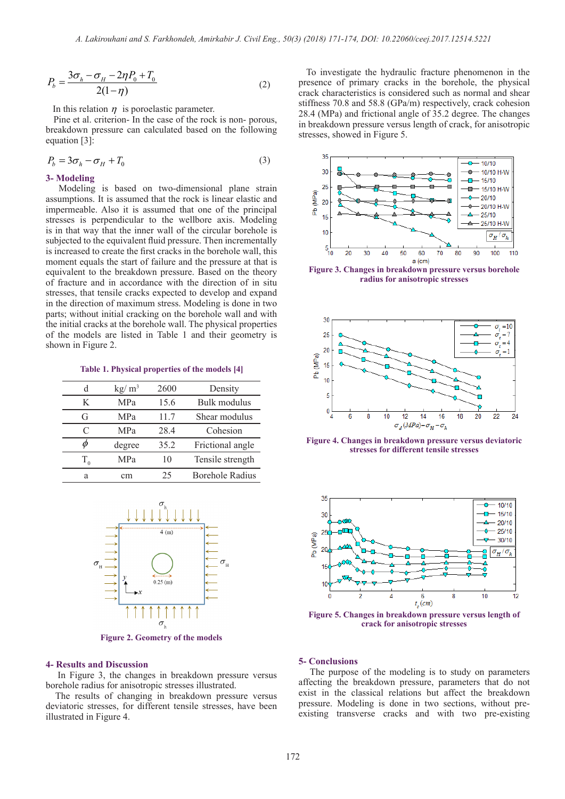$$
P_b = \frac{3\sigma_h - \sigma_H - 2\eta P_0 + T_0}{2(1 - \eta)}
$$
(2)

In this relation  $\eta$  is poroelastic parameter.

 Pine et al. criterion- In the case of the rock is non- porous, breakdown pressure can calculated based on the following equation [3]:

$$
P_b = 3\sigma_h - \sigma_H + T_0 \tag{3}
$$

#### **3- Modeling**

 Modeling is based on two-dimensional plane strain assumptions. It is assumed that the rock is linear elastic and impermeable. Also it is assumed that one of the principal stresses is perpendicular to the wellbore axis. Modeling is in that way that the inner wall of the circular borehole is subjected to the equivalent fluid pressure. Then incrementally is increased to create the first cracks in the borehole wall, this moment equals the start of failure and the pressure at that is equivalent to the breakdown pressure. Based on the theory of fracture and in accordance with the direction of in situ stresses, that tensile cracks expected to develop and expand in the direction of maximum stress. Modeling is done in two parts; without initial cracking on the borehole wall and with the initial cracks at the borehole wall. The physical properties of the models are listed in Table 1 and their geometry is shown in Figure 2.

**Table 1. Physical properties of the models [4]**

| d         | kg/m <sup>3</sup> | 2600 | Density                |
|-----------|-------------------|------|------------------------|
| K         | MPa               | 15.6 | Bulk modulus           |
| G         | MPa               | 11.7 | Shear modulus          |
| C         | MPa               | 28.4 | Cohesion               |
| $\varphi$ | degree            | 35.2 | Frictional angle       |
| T         | <b>MPa</b>        | 10   | Tensile strength       |
| a         | cm                | 25   | <b>Borehole Radius</b> |



**Figure 2. Geometry of the models**

#### **4- Results and Discussion**

 In Figure 3, the changes in breakdown pressure versus borehole radius for anisotropic stresses illustrated.

 The results of changing in breakdown pressure versus deviatoric stresses, for different tensile stresses, have been illustrated in Figure 4.

 To investigate the hydraulic fracture phenomenon in the presence of primary cracks in the borehole, the physical crack characteristics is considered such as normal and shear stiffness 70.8 and 58.8 (GPa/m) respectively, crack cohesion 28.4 (MPa) and frictional angle of 35.2 degree. The changes in breakdown pressure versus length of crack, for anisotropic stresses, showed in Figure 5.



**Figure 3. Changes in breakdown pressure versus borehole radius for anisotropic stresses**



**Figure 4. Changes in breakdown pressure versus deviatoric stresses for different tensile stresses**



**Figure 5. Changes in breakdown pressure versus length of crack for anisotropic stresses**

# **5- Conclusions**

 The purpose of the modeling is to study on parameters affecting the breakdown pressure, parameters that do not exist in the classical relations but affect the breakdown pressure. Modeling is done in two sections, without preexisting transverse cracks and with two pre-existing